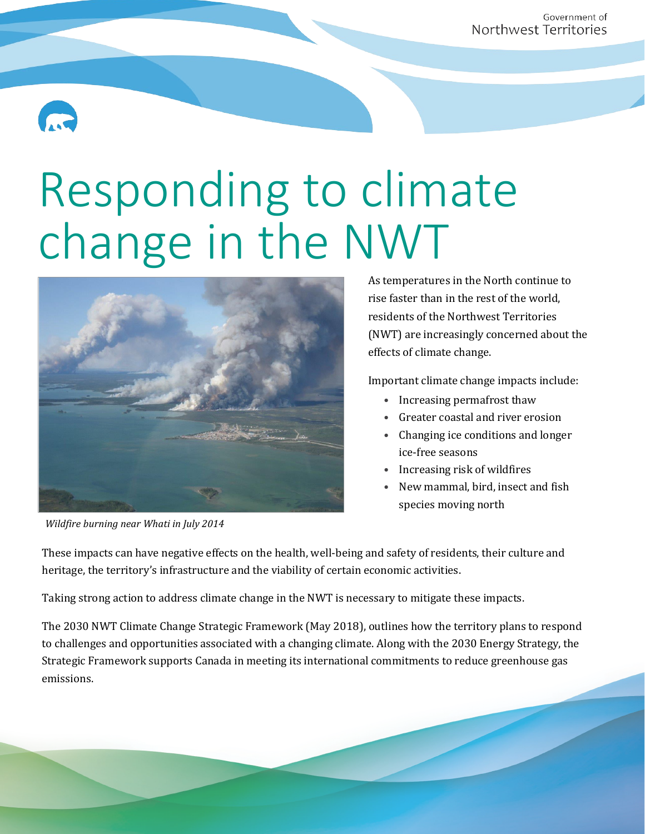

## Responding to climate change in the NWT



*Wildfire burning near Whati in July 2014*

As temperatures in the North continue to rise faster than in the rest of the world, residents of the Northwest Territories (NWT) are increasingly concerned about the effects of climate change.

Important climate change impacts include:

- Increasing permafrost thaw
- Greater coastal and river erosion
- Changing ice conditions and longer ice-free seasons
- Increasing risk of wildfires
- New mammal, bird, insect and fish species moving north

These impacts can have negative effects on the health, well-being and safety of residents, their culture and heritage, the territory's infrastructure and the viability of certain economic activities.

Taking strong action to address climate change in the NWT is necessary to mitigate these impacts.

The 2030 NWT Climate Change Strategic Framework (May 2018), outlines how the territory plans to respond to challenges and opportunities associated with a changing climate. Along with the 2030 Energy Strategy, the Strategic Framework supports Canada in meeting its international commitments to reduce greenhouse gas emissions.